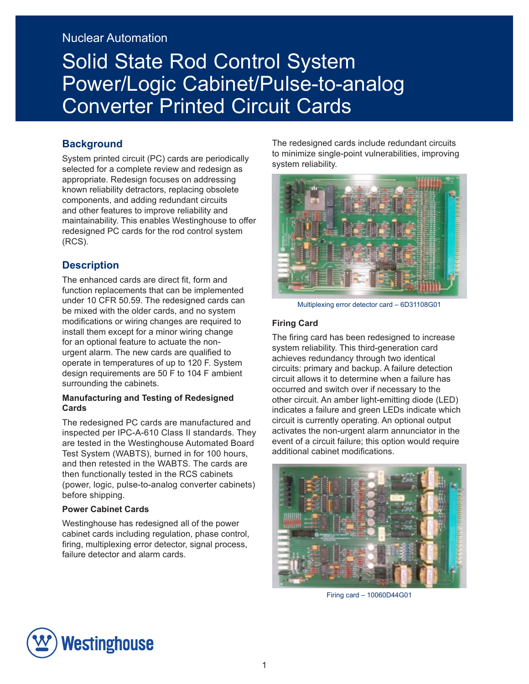## Nuclear Automation

# Solid State Rod Control System Power/Logic Cabinet/Pulse-to-analog Converter Printed Circuit Cards

### **Background**

System printed circuit (PC) cards are periodically selected for a complete review and redesign as appropriate. Redesign focuses on addressing known reliability detractors, replacing obsolete components, and adding redundant circuits and other features to improve reliability and maintainability. This enables Westinghouse to offer redesigned PC cards for the rod control system (RCS).

#### **Description**

The enhanced cards are direct fit, form and function replacements that can be implemented under 10 CFR 50.59. The redesigned cards can be mixed with the older cards, and no system modifications or wiring changes are required to install them except for a minor wiring change for an optional feature to actuate the nonurgent alarm. The new cards are qualified to operate in temperatures of up to 120 F. System design requirements are 50 F to 104 F ambient surrounding the cabinets.

#### **Manufacturing and Testing of Redesigned Cards**

The redesigned PC cards are manufactured and inspected per IPC-A-610 Class II standards. They are tested in the Westinghouse Automated Board Test System (WABTS), burned in for 100 hours, and then retested in the WABTS. The cards are then functionally tested in the RCS cabinets (power, logic, pulse-to-analog converter cabinets) before shipping.

#### **Power Cabinet Cards**

Westinghouse has redesigned all of the power cabinet cards including regulation, phase control, firing, multiplexing error detector, signal process, failure detector and alarm cards.

The redesigned cards include redundant circuits to minimize single-point vulnerabilities, improving system reliability.



Multiplexing error detector card – 6D31108G01

#### **Firing Card**

The firing card has been redesigned to increase system reliability. This third-generation card achieves redundancy through two identical circuits: primary and backup. A failure detection circuit allows it to determine when a failure has occurred and switch over if necessary to the other circuit. An amber light-emitting diode (LED) indicates a failure and green LEDs indicate which circuit is currently operating. An optional output activates the non-urgent alarm annunciator in the event of a circuit failure; this option would require additional cabinet modifications.



Firing card – 10060D44G01

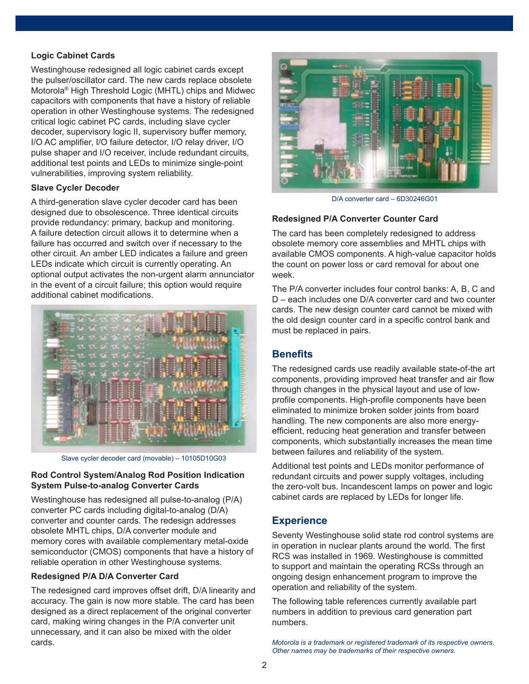#### **Logic Cabinet Cards**

Westinghouse redesigned all logic cabinet cards except the pulser/oscillator card. The new cards replace obsolete Motorola® High Threshold Logic (MHTL) chips and Midwec capacitors with components that have a history of reliable operation in other Westinghouse systems. The redesigned critical logic cabinet PC cards, including slave cycler decoder, supervisory logic II, supervisory buffer memory, I/O AC amplifier, I/O failure detector, I/O relay driver, I/O pulse shaper and I/O receiver, include redundant circuits, additional test points and LEDs to minimize single-point vulnerabilities, improving system reliability.

#### **Slave Cycler Decoder**

A third-generation slave cycler decoder card has been designed due to obsolescence. Three identical circuits provide redundancy: primary, backup and monitoring. A failure detection circuit allows it to determine when a failure has occurred and switch over if necessary to the other circuit. An amber LED indicates a failure and green LEDs indicate which circuit is currently operating. An optional output activates the non-urgent alarm annunciator in the event of a circuit failure; this option would require additional cabinet modifications.



Slave cycler decoder card (movable) – 10105D10G03

#### **Rod Control System/Analog Rod Position Indication System Pulse-to-analog Converter Cards**

Westinghouse has redesigned all pulse-to-analog (P/A) converter PC cards including digital-to-analog (D/A) converter and counter cards. The redesign addresses obsolete MHTL chips, D/A converter module and memory cores with available complementary metal-oxide semiconductor (CMOS) components that have a history of reliable operation in other Westinghouse systems.

#### **Redesigned P/A D/A Converter Card**

The redesigned card improves offset drift, D/A linearity and accuracy. The gain is now more stable. The card has been designed as a direct replacement of the original converter card, making wiring changes in the P/A converter unit unnecessary, and it can also be mixed with the older cards.



D/A converter card – 6D30246G01

#### **Redesigned P/A Converter Counter Card**

The card has been completely redesigned to address obsolete memory core assemblies and MHTL chips with available CMOS components. A high-value capacitor holds the count on power loss or card removal for about one week.

The P/A converter includes four control banks: A, B, C and D – each includes one D/A converter card and two counter cards. The new design counter card cannot be mixed with the old design counter card in a specific control bank and must be replaced in pairs.

## **Benefits**

The redesigned cards use readily available state-of-the art components, providing improved heat transfer and air flow through changes in the physical layout and use of lowprofile components. High-profile components have been eliminated to minimize broken solder joints from board handling. The new components are also more energyefficient, reducing heat generation and transfer between components, which substantially increases the mean time between failures and reliability of the system.

Additional test points and LEDs monitor performance of redundant circuits and power supply voltages, including the zero-volt bus. Incandescent lamps on power and logic cabinet cards are replaced by LEDs for longer life.

## **Experience**

Seventy Westinghouse solid state rod control systems are in operation in nuclear plants around the world. The first RCS was installed in 1969. Westinghouse is committed to support and maintain the operating RCSs through an ongoing design enhancement program to improve the operation and reliability of the system.

The following table references currently available part numbers in addition to previous card generation part numbers.

*Motorola is a trademark or registered trademark of its respective owners. Other names may be trademarks of their respective owners.*